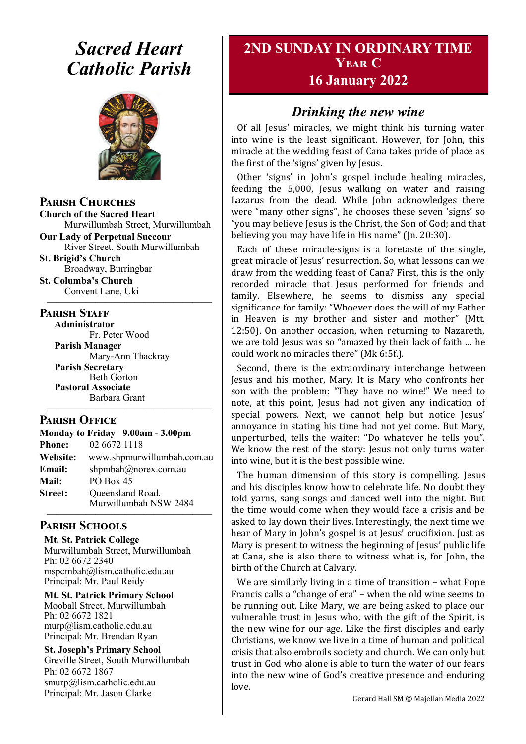# *Sacred Heart Catholic Parish*



**Parish Churches**

**Church of the Sacred Heart** Murwillumbah Street, Murwillumbah

**Our Lady of Perpetual Succour** River Street, South Murwillumbah

**St. Brigid's Church** Broadway, Burringbar **St. Columba's Church**

Convent Lane, Uki —————————————————

#### **PARISH STAFF**

**Administrator** Fr. Peter Wood **Parish Manager** Mary-Ann Thackray **Parish Secretary** Beth Gorton **Pastoral Associate** Barbara Grant

#### **Parish Office**

| Monday to Friday 9.00am - 3.00pm |                            |
|----------------------------------|----------------------------|
| <b>Phone:</b>                    | 02 6672 1118               |
| <b>Website:</b>                  | www.shpmurwillumbah.com.au |
| Email:                           | shpmbah@norex.com.au       |
| <b>Mail:</b>                     | PO Box 45                  |
| <b>Street:</b>                   | Queensland Road,           |
|                                  | Murwillumbah NSW 2484      |

—————————————————

#### ————————————————— **Parish Schools**

**Mt. St. Patrick College** Murwillumbah Street, Murwillumbah Ph: 02 6672 2340 mspcmbah@lism.catholic.edu.au Principal: Mr. Paul Reidy

**Mt. St. Patrick Primary School** Mooball Street, Murwillumbah Ph: 02 6672 1821 murp@lism.catholic.edu.au Principal: Mr. Brendan Ryan

**St. Joseph's Primary School** Greville Street, South Murwillumbah Ph: 02 6672 1867 smurp@lism.catholic.edu.au Principal: Mr. Jason Clarke

# **2ND SUNDAY IN ORDINARY TIME Year C**

## **16 January 2022**

## *Drinking the new wine*

Of all Jesus' miracles, we might think his turning water into wine is the least significant. However, for John, this miracle at the wedding feast of Cana takes pride of place as the first of the 'signs' given by Jesus.

Other 'signs' in John's gospel include healing miracles, feeding the 5,000, Jesus walking on water and raising Lazarus from the dead. While John acknowledges there were "many other signs", he chooses these seven 'signs' so "you may believe Jesus is the Christ, the Son of God; and that believing you may have life in His name" (Jn. 20:30).

Each of these miracle-signs is a foretaste of the single, great miracle of Jesus' resurrection. So, what lessons can we draw from the wedding feast of Cana? First, this is the only recorded miracle that Jesus performed for friends and family. Elsewhere, he seems to dismiss any special significance for family: "Whoever does the will of my Father in Heaven is my brother and sister and mother" (Mtt. 12:50). On another occasion, when returning to Nazareth, we are told Jesus was so "amazed by their lack of faith … he could work no miracles there" (Mk 6:5f.).

Second, there is the extraordinary interchange between Jesus and his mother, Mary. It is Mary who confronts her son with the problem: "They have no wine!" We need to note, at this point, Jesus had not given any indication of special powers. Next, we cannot help but notice Jesus' annoyance in stating his time had not yet come. But Mary, unperturbed, tells the waiter: "Do whatever he tells you". We know the rest of the story: Jesus not only turns water into wine, but it is the best possible wine.

The human dimension of this story is compelling. Jesus and his disciples know how to celebrate life. No doubt they told yarns, sang songs and danced well into the night. But the time would come when they would face a crisis and be asked to lay down their lives. Interestingly, the next time we hear of Mary in John's gospel is at Jesus' crucifixion. Just as Mary is present to witness the beginning of Jesus' public life at Cana, she is also there to witness what is, for John, the birth of the Church at Calvary.

We are similarly living in a time of transition – what Pope Francis calls a "change of era" – when the old wine seems to be running out. Like Mary, we are being asked to place our vulnerable trust in Jesus who, with the gift of the Spirit, is the new wine for our age. Like the first disciples and early Christians, we know we live in a time of human and political crisis that also embroils society and church. We can only but trust in God who alone is able to turn the water of our fears into the new wine of God's creative presence and enduring love.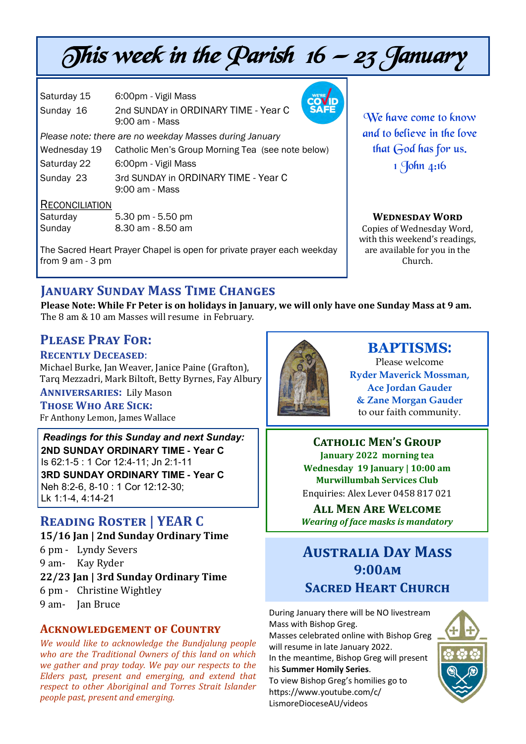# This week in the Parish  $16 - 23$  January

Saturday 15 6:00pm - Vigil Mass Sunday 16 2nd SUNDAY in ORDINARY TIME - Year C 9:00 am - Mass

*Please note: there are no weekday Masses during January*

| Wednesday 19                         | Catholic Men's Group Morning Tea (see note below)      |
|--------------------------------------|--------------------------------------------------------|
| Saturday 22                          | 6:00pm - Vigil Mass                                    |
| Sunday 23                            | 3rd SUNDAY in ORDINARY TIME - Year C<br>9:00 am - Mass |
| <b>D</b> = - - - - - - - - - - - - - |                                                        |

#### RECONCILIATION

Saturday 5.30 pm - 5.50 pm Sunday 8.30 am - 8.50 am

The Sacred Heart Prayer Chapel is open for private prayer each weekday from 9 am - 3 pm

We have come to know and to believe in the love that God has for us. 1 John 4:16

#### **Wednesday Word**

Copies of Wednesday Word, with this weekend's readings, are available for you in the Church.

# **January Sunday Mass Time Changes**

**Please Note: While Fr Peter is on holidays in January, we will only have one Sunday Mass at 9 am.**  The 8 am & 10 am Masses will resume in February.

## **Please Pray For:**

**Recently Deceased**:

Michael Burke, Jan Weaver, Janice Paine (Grafton), Tarq Mezzadri, Mark Biltoft, Betty Byrnes, Fay Albury

**Anniversaries:** Lily Mason **Those Who Are Sick:**  Fr Anthony Lemon, James Wallace

*Readings for this Sunday and next Sunday:*  **2ND SUNDAY ORDINARY TIME - Year C** Is 62:1-5 : 1 Cor 12:4-11; Jn 2:1-11 **3RD SUNDAY ORDINARY TIME - Year C** Neh 8:2-6, 8-10 : 1 Cor 12:12-30; Lk 1:1-4, 4:14-21

# **Reading Roster | YEAR C**

**15/16 Jan | 2nd Sunday Ordinary Time**  6 pm - Lyndy Severs 9 am- Kay Ryder **22/23 Jan | 3rd Sunday Ordinary Time**  6 pm - Christine Wightley 9 am- Jan Bruce

#### **Acknowledgement of Country**

*We would like to acknowledge the Bundjalung people who are the Traditional Owners of this land on which we gather and pray today. We pay our respects to the Elders past, present and emerging, and extend that respect to other Aboriginal and Torres Strait Islander people past, present and emerging.* 



#### **BAPTISMS**: Please welcome **Ryder Maverick Mossman, Ace Jordan Gauder & Zane Morgan Gauder** to our faith community.

**Catholic Men's Group January 2022 morning tea Wednesday 19 January | 10:00 am Murwillumbah Services Club** Enquiries: Alex Lever 0458 817 021

**All Men Are Welcome** *Wearing of face masks is mandatory* 

# **Australia Day Mass 9:00am Sacred Heart Church**

During January there will be NO livestream Mass with Bishop Greg. Masses celebrated online with Bishop Greg will resume in late January 2022.

In the meantime, Bishop Greg will present his **Summer Homily Series**.

To view Bishop Greg's homilies go to https://www.youtube.com/c/ LismoreDioceseAU/videos

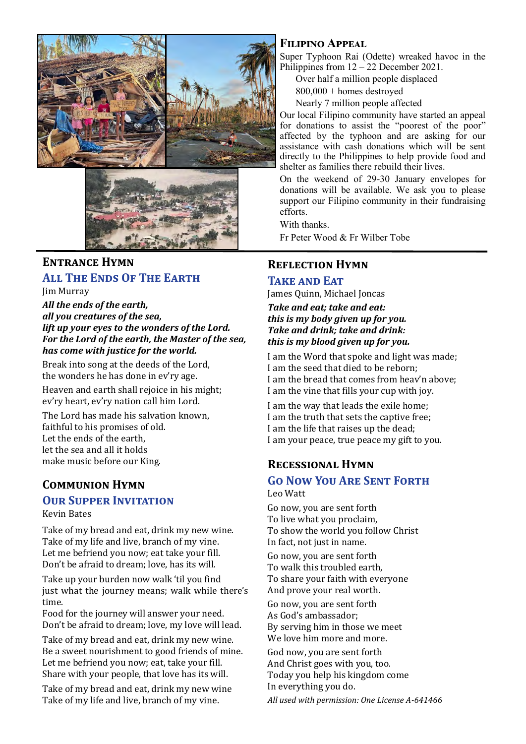



#### **Entrance Hymn**

#### **All The Ends Of The Earth**

Jim Murray *All the ends of the earth, all you creatures of the sea,* 

*lift up your eyes to the wonders of the Lord. For the Lord of the earth, the Master of the sea, has come with justice for the world.* 

Break into song at the deeds of the Lord, the wonders he has done in ev'ry age.

Heaven and earth shall rejoice in his might; ev'ry heart, ev'ry nation call him Lord.

The Lord has made his salvation known, faithful to his promises of old. Let the ends of the earth, let the sea and all it holds make music before our King.

#### **Communion Hymn**

#### **OUR SUPPER INVITATION**

Kevin Bates

Take of my bread and eat, drink my new wine. Take of my life and live, branch of my vine. Let me befriend you now; eat take your fill. Don't be afraid to dream; love, has its will.

Take up your burden now walk 'til you find just what the journey means; walk while there's time.

Food for the journey will answer your need. Don't be afraid to dream; love, my love will lead.

Take of my bread and eat, drink my new wine. Be a sweet nourishment to good friends of mine. Let me befriend you now; eat, take your fill. Share with your people, that love has its will.

Take of my bread and eat, drink my new wine Take of my life and live, branch of my vine.

#### **Filipino Appeal**

Super Typhoon Rai (Odette) wreaked havoc in the Philippines from  $12 - 22$  December 2021.

Over half a million people displaced

800,000 + homes destroyed

Nearly 7 million people affected

Our local Filipino community have started an appeal for donations to assist the "poorest of the poor" affected by the typhoon and are asking for our assistance with cash donations which will be sent directly to the Philippines to help provide food and shelter as families there rebuild their lives.

On the weekend of 29-30 January envelopes for donations will be available. We ask you to please support our Filipino community in their fundraising efforts.

With thanks.

Fr Peter Wood & Fr Wilber Tobe

#### **Reflection Hymn**

#### **Take and Eat**

James Quinn, Michael Joncas

*Take and eat; take and eat: this is my body given up for you. Take and drink; take and drink: this is my blood given up for you.* 

I am the Word that spoke and light was made; I am the seed that died to be reborn; I am the bread that comes from heav'n above; I am the vine that fills your cup with joy.

I am the way that leads the exile home; I am the truth that sets the captive free; I am the life that raises up the dead; I am your peace, true peace my gift to you.

#### **Recessional Hymn**

#### **Go Now You Are Sent Forth** Leo Watt

Go now, you are sent forth To live what you proclaim, To show the world you follow Christ In fact, not just in name.

Go now, you are sent forth To walk this troubled earth, To share your faith with everyone And prove your real worth.

Go now, you are sent forth As God's ambassador; By serving him in those we meet We love him more and more.

God now, you are sent forth And Christ goes with you, too. Today you help his kingdom come In everything you do.

*All used with permission: One License A-641466*